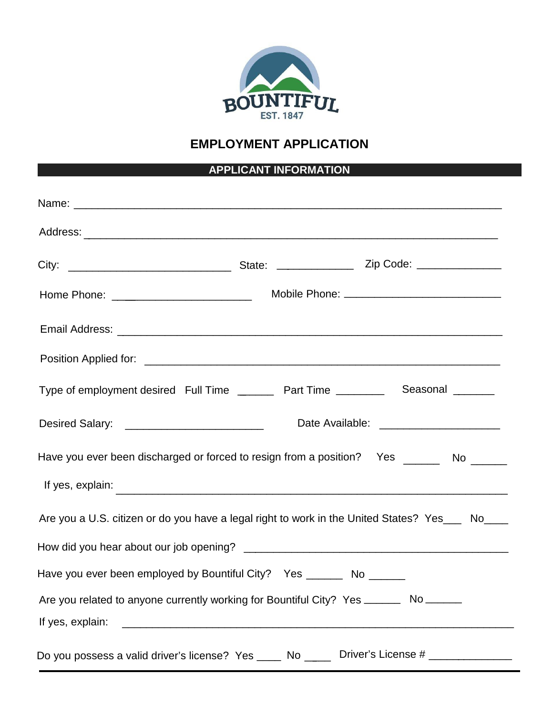

## **EMPLOYMENT APPLICATION**

## **APPLICANT INFORMATION**

| Type of employment desired Full Time _________ Part Time ____________ Seasonal ________         |  |
|-------------------------------------------------------------------------------------------------|--|
| Date Available: _______________________                                                         |  |
| Have you ever been discharged or forced to resign from a position? Yes ________ No ______       |  |
|                                                                                                 |  |
| Are you a U.S. citizen or do you have a legal right to work in the United States? Yes___ No____ |  |
|                                                                                                 |  |
| Have you ever been employed by Kaysville City? Yes ________ No _______                          |  |
| Are you related to anyone currently working for Kaysville City? Yes _______ No _____            |  |
|                                                                                                 |  |